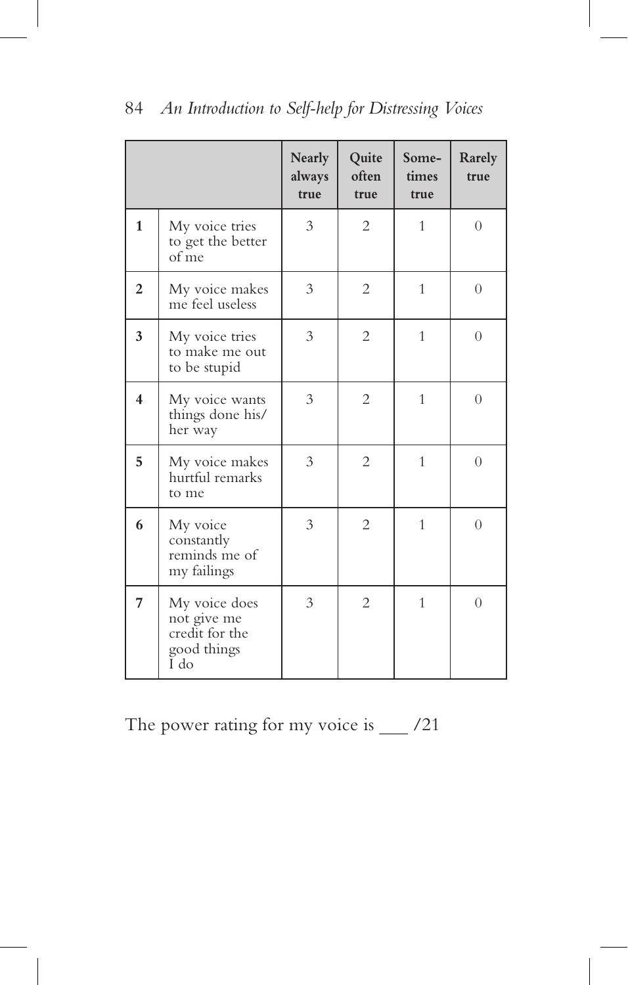|                         |                                                                       | Nearly<br>always<br>true | Quite<br>often<br>true | Some-<br>times<br>true | Rarely<br>true |
|-------------------------|-----------------------------------------------------------------------|--------------------------|------------------------|------------------------|----------------|
| $\mathbf{1}$            | My voice tries<br>to get the better<br>of me                          | 3                        | $\overline{2}$         | $\mathbf{1}$           | $\overline{0}$ |
| $\overline{2}$          | My voice makes<br>me feel useless                                     | 3                        | $\overline{2}$         | $\mathbf{1}$           | $\theta$       |
| 3                       | My voice tries<br>to make me out<br>to be stupid                      | 3                        | $\overline{2}$         | $\mathbf{1}$           | $\Omega$       |
| $\overline{\mathbf{4}}$ | My voice wants<br>things done his/<br>her way                         | 3                        | $\overline{2}$         | 1                      | $\theta$       |
| 5                       | My voice makes<br>hurtful remarks<br>to me                            | 3                        | $\overline{2}$         | $\mathbf{1}$           | $\theta$       |
| 6                       | My voice<br>constantly<br>reminds me of<br>my failings                | 3                        | $\overline{2}$         | $\mathbf{1}$           | $\Omega$       |
| 7                       | My voice does<br>not give me<br>credit for the<br>good things<br>I do | 3                        | $\overline{c}$         | 1                      | $\theta$       |

The power rating for my voice is \_\_\_ /21